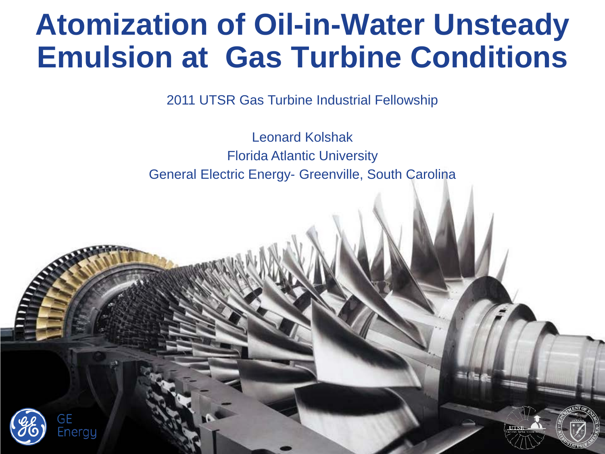#### **Atomization of Oil-in-Water Unsteady Emulsion at Gas Turbine Conditions**

2011 UTSR Gas Turbine Industrial Fellowship

Leonard Kolshak Florida Atlantic University General Electric Energy- Greenville, South Carolina



GF

Energy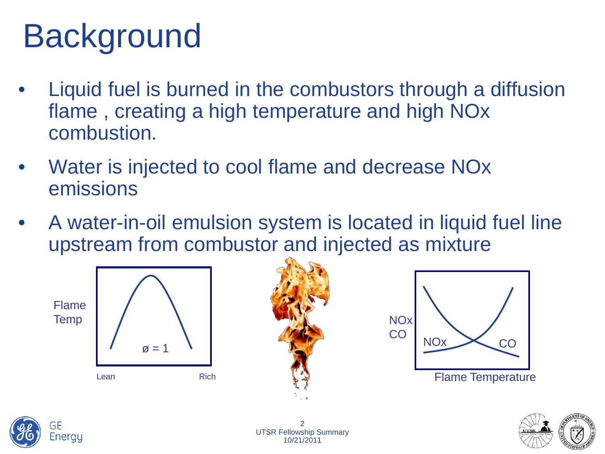# **Background**

- Liquid fuel is burned in the combustors through a diffusion flame , creating a high temperature and high NOx combustion.
- Water is injected to cool flame and decrease NOx emissions
- A water-in-oil emulsion system is located in liquid fuel line upstream from combustor and injected as mixture



Lean Rich  $\varnothing$  = 1







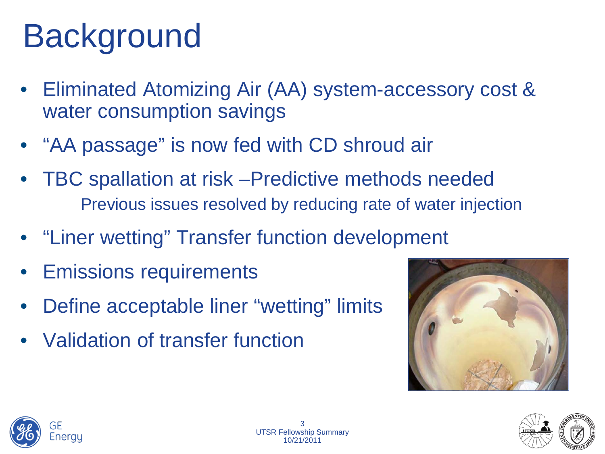# **Background**

- Eliminated Atomizing Air (AA) system-accessory cost & water consumption savings
- "AA passage" is now fed with CD shroud air
- TBC spallation at risk –Predictive methods needed Previous issues resolved by reducing rate of water injection
- "Liner wetting" Transfer function development
- **Emissions requirements**
- Define acceptable liner "wetting" limits
- Validation of transfer function





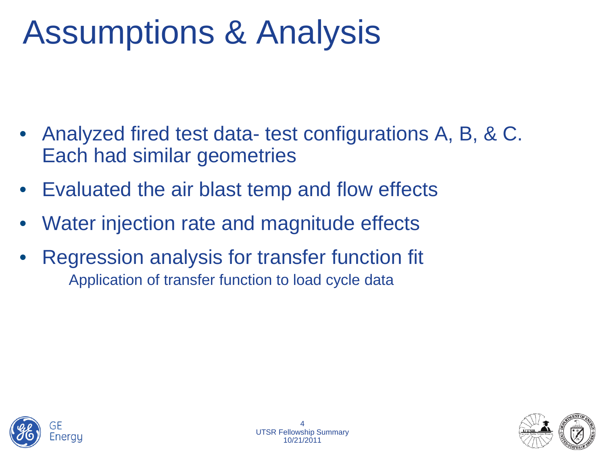## Assumptions & Analysis

- Analyzed fired test data- test configurations A, B, & C. Each had similar geometries
- Evaluated the air blast temp and flow effects
- Water injection rate and magnitude effects
- Regression analysis for transfer function fit Application of transfer function to load cycle data

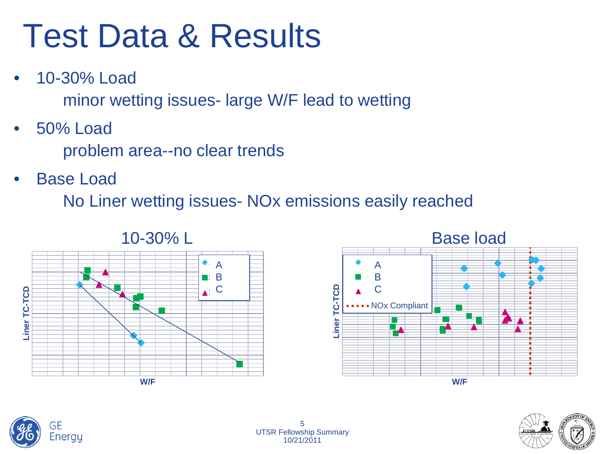## Test Data & Results

• 10-30% Load

minor wetting issues- large W/F lead to wetting

• 50% Load

problem area--no clear trends

• Base Load

No Liner wetting issues- NOx emissions easily reached









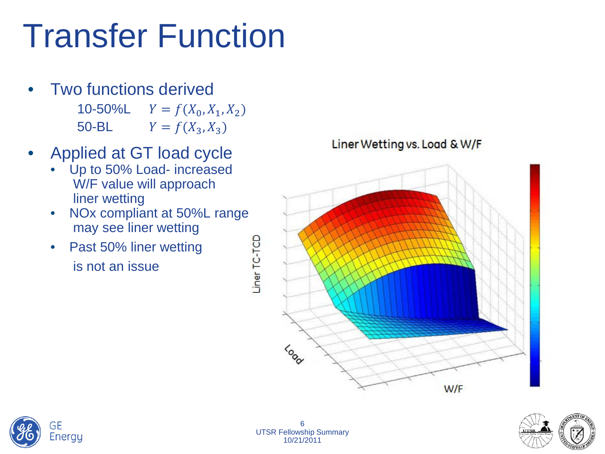## Transfer Function

- Two functions derived 10-50%L  $Y = f(X_0, X_1, X_2)$ <br>50-BL  $Y = f(X_3, X_3)$  $Y = f(X_3, X_3)$
- Applied at GT load cycle
	- Up to 50% Load- increased W/F value will approach liner wetting
	- NOx compliant at 50%L range may see liner wetting
	- Past 50% liner wetting is not an issue

Liner Wetting vs. Load & W/F







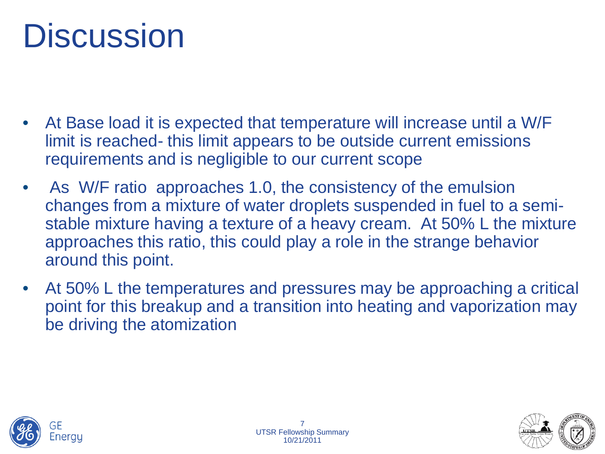## **Discussion**

- At Base load it is expected that temperature will increase until a W/F limit is reached- this limit appears to be outside current emissions requirements and is negligible to our current scope
- As W/F ratio approaches 1.0, the consistency of the emulsion changes from a mixture of water droplets suspended in fuel to a semistable mixture having a texture of a heavy cream. At 50% L the mixture approaches this ratio, this could play a role in the strange behavior around this point.
- At 50% L the temperatures and pressures may be approaching a critical point for this breakup and a transition into heating and vaporization may be driving the atomization





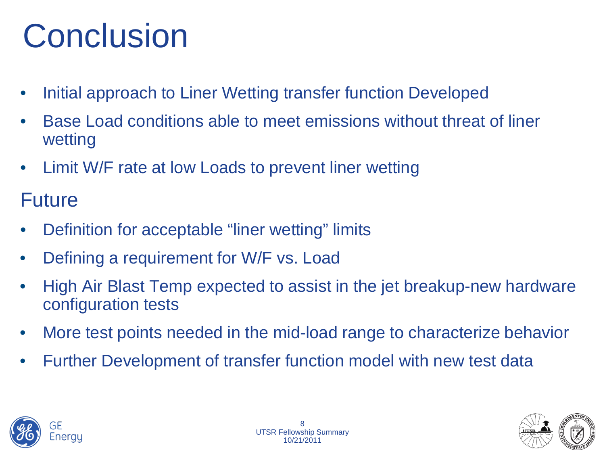## **Conclusion**

- Initial approach to Liner Wetting transfer function Developed
- Base Load conditions able to meet emissions without threat of liner wetting
- Limit W/F rate at low Loads to prevent liner wetting

#### Future

- Definition for acceptable "liner wetting" limits
- Defining a requirement for W/F vs. Load
- High Air Blast Temp expected to assist in the jet breakup-new hardware configuration tests
- More test points needed in the mid-load range to characterize behavior
- Further Development of transfer function model with new test data



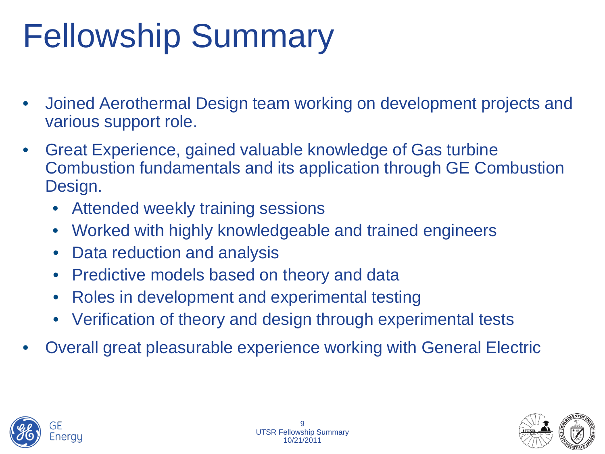## Fellowship Summary

- Joined Aerothermal Design team working on development projects and various support role.
- Great Experience, gained valuable knowledge of Gas turbine Combustion fundamentals and its application through GE Combustion Design.
	- Attended weekly training sessions
	- Worked with highly knowledgeable and trained engineers
	- Data reduction and analysis
	- Predictive models based on theory and data
	- Roles in development and experimental testing
	- Verification of theory and design through experimental tests
- Overall great pleasurable experience working with General Electric



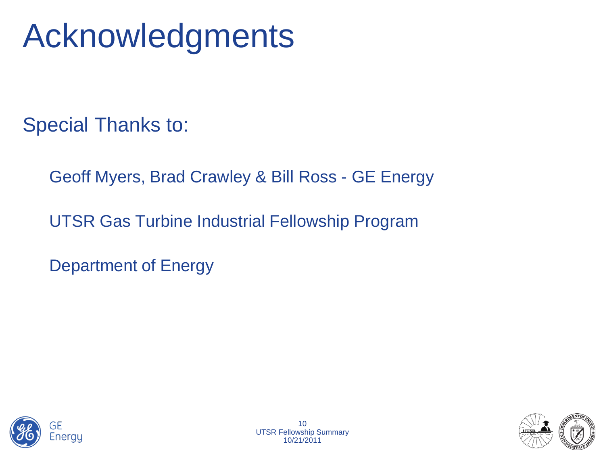## Acknowledgments

Special Thanks to:

Geoff Myers, Brad Crawley & Bill Ross - GE Energy

UTSR Gas Turbine Industrial Fellowship Program

Department of Energy